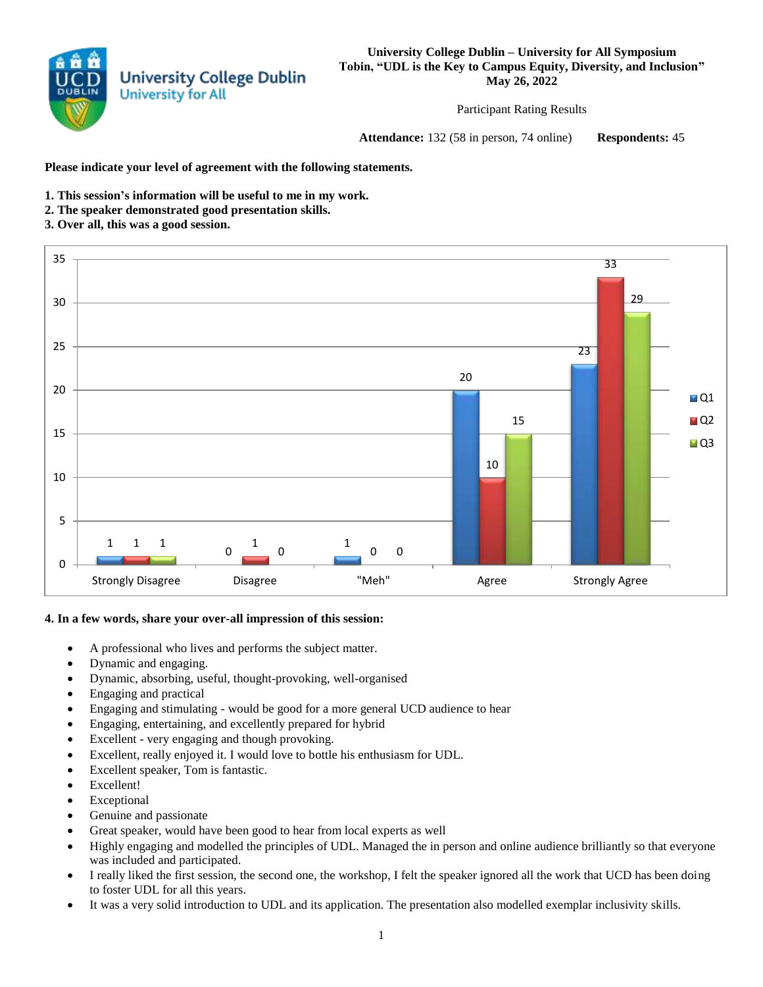

**University College Dublin – University for All Symposium Tobin, "UDL is the Key to Campus Equity, Diversity, and Inclusion" May 26, 2022**

Participant Rating Results

**Attendance:** 132 (58 in person, 74 online) **Respondents:** 45

**Please indicate your level of agreement with the following statements.**

- **1. This session's information will be useful to me in my work.**
- **2. The speaker demonstrated good presentation skills.**

## **3. Over all, this was a good session.**



## **4. In a few words, share your over-all impression of this session:**

- A professional who lives and performs the subject matter.
- Dynamic and engaging.
- Dynamic, absorbing, useful, thought-provoking, well-organised
- Engaging and practical
- Engaging and stimulating would be good for a more general UCD audience to hear
- Engaging, entertaining, and excellently prepared for hybrid
- Excellent very engaging and though provoking.
- Excellent, really enjoyed it. I would love to bottle his enthusiasm for UDL.
- Excellent speaker, Tom is fantastic.
- Excellent!
- Exceptional
- Genuine and passionate
- Great speaker, would have been good to hear from local experts as well
- Highly engaging and modelled the principles of UDL. Managed the in person and online audience brilliantly so that everyone was included and participated.
- I really liked the first session, the second one, the workshop, I felt the speaker ignored all the work that UCD has been doing to foster UDL for all this years.
- It was a very solid introduction to UDL and its application. The presentation also modelled exemplar inclusivity skills.